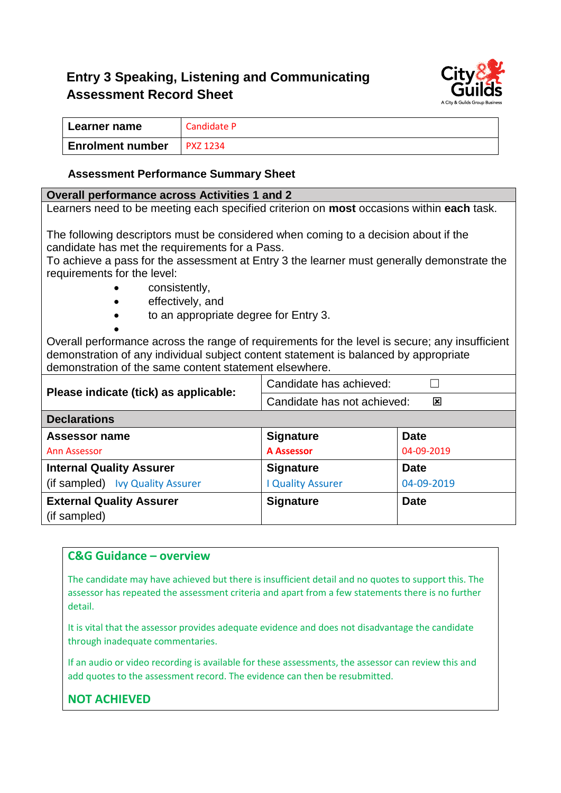# **Entry 3 Speaking, Listening and Communicating Assessment Record Sheet**



| Learner name            | Candidate P     |
|-------------------------|-----------------|
| <b>Enrolment number</b> | <b>PXZ 1234</b> |

#### **Assessment Performance Summary Sheet**

| Overall performance across Activities 1 and 2                                                                                                |                                                                                          |             |  |  |
|----------------------------------------------------------------------------------------------------------------------------------------------|------------------------------------------------------------------------------------------|-------------|--|--|
|                                                                                                                                              | Learners need to be meeting each specified criterion on most occasions within each task. |             |  |  |
|                                                                                                                                              |                                                                                          |             |  |  |
| The following descriptors must be considered when coming to a decision about if the                                                          |                                                                                          |             |  |  |
| candidate has met the requirements for a Pass.<br>To achieve a pass for the assessment at Entry 3 the learner must generally demonstrate the |                                                                                          |             |  |  |
| requirements for the level:                                                                                                                  |                                                                                          |             |  |  |
| consistently,                                                                                                                                |                                                                                          |             |  |  |
| effectively, and                                                                                                                             |                                                                                          |             |  |  |
|                                                                                                                                              | to an appropriate degree for Entry 3.                                                    |             |  |  |
|                                                                                                                                              |                                                                                          |             |  |  |
| Overall performance across the range of requirements for the level is secure; any insufficient                                               |                                                                                          |             |  |  |
| demonstration of any individual subject content statement is balanced by appropriate                                                         |                                                                                          |             |  |  |
| demonstration of the same content statement elsewhere.                                                                                       |                                                                                          |             |  |  |
| Candidate has achieved:<br>$\Box$<br>Please indicate (tick) as applicable:                                                                   |                                                                                          |             |  |  |
|                                                                                                                                              | Candidate has not achieved:<br>⊠                                                         |             |  |  |
| <b>Declarations</b>                                                                                                                          |                                                                                          |             |  |  |
| <b>Assessor name</b>                                                                                                                         | <b>Signature</b>                                                                         | <b>Date</b> |  |  |
| <b>Ann Assessor</b>                                                                                                                          | <b>A Assessor</b>                                                                        | 04-09-2019  |  |  |
| <b>Internal Quality Assurer</b>                                                                                                              | <b>Signature</b>                                                                         | <b>Date</b> |  |  |
| (if sampled) Ivy Quality Assurer                                                                                                             | <b>I Quality Assurer</b>                                                                 | 04-09-2019  |  |  |
| <b>External Quality Assurer</b>                                                                                                              | <b>Signature</b>                                                                         | <b>Date</b> |  |  |
| (if sampled)                                                                                                                                 |                                                                                          |             |  |  |

### **C&G Guidance – overview**

The candidate may have achieved but there is insufficient detail and no quotes to support this. The assessor has repeated the assessment criteria and apart from a few statements there is no further detail.

It is vital that the assessor provides adequate evidence and does not disadvantage the candidate through inadequate commentaries.

If an audio or video recording is available for these assessments, the assessor can review this and add quotes to the assessment record. The evidence can then be resubmitted.

#### **NOT ACHIEVED**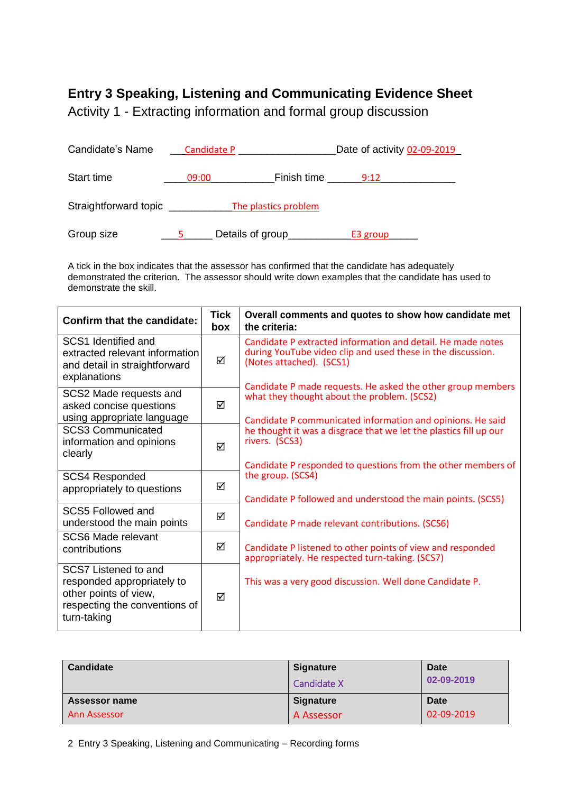# **Entry 3 Speaking, Listening and Communicating Evidence Sheet**

Activity 1 - Extracting information and formal group discussion

| Candidate's Name                              | Candidate P      |             | Date of activity 02-09-2019 |  |
|-----------------------------------------------|------------------|-------------|-----------------------------|--|
| <b>Start time</b>                             | 09:00            | Finish time | 9:12                        |  |
| Straightforward topic<br>The plastics problem |                  |             |                             |  |
| Group size                                    | Details of group |             | E3 group                    |  |

A tick in the box indicates that the assessor has confirmed that the candidate has adequately demonstrated the criterion. The assessor should write down examples that the candidate has used to demonstrate the skill.

| <b>Confirm that the candidate:</b>                                                                                          | <b>Tick</b><br><b>box</b> | Overall comments and quotes to show how candidate met<br>the criteria:                                                                                                   |  |
|-----------------------------------------------------------------------------------------------------------------------------|---------------------------|--------------------------------------------------------------------------------------------------------------------------------------------------------------------------|--|
| SCS1 Identified and<br>extracted relevant information<br>and detail in straightforward<br>explanations                      | ☑                         | Candidate P extracted information and detail. He made notes<br>during YouTube video clip and used these in the discussion.<br>(Notes attached). (SCS1)                   |  |
| SCS2 Made requests and<br>asked concise questions<br>using appropriate language                                             | ⊠                         | Candidate P made requests. He asked the other group members<br>what they thought about the problem. (SCS2)<br>Candidate P communicated information and opinions. He said |  |
| <b>SCS3 Communicated</b><br>information and opinions<br>clearly                                                             | ☑                         | he thought it was a disgrace that we let the plastics fill up our<br>rivers. (SCS3)<br>Candidate P responded to questions from the other members of                      |  |
| <b>SCS4 Responded</b><br>appropriately to questions                                                                         | ☑                         | the group. (SCS4)<br>Candidate P followed and understood the main points. (SCS5)                                                                                         |  |
| SCS5 Followed and<br>understood the main points                                                                             | ☑                         | Candidate P made relevant contributions. (SCS6)                                                                                                                          |  |
| <b>SCS6 Made relevant</b><br>contributions                                                                                  | ☑                         | Candidate P listened to other points of view and responded<br>appropriately. He respected turn-taking. (SCS7)                                                            |  |
| SCS7 Listened to and<br>responded appropriately to<br>other points of view,<br>respecting the conventions of<br>turn-taking | ⊠                         | This was a very good discussion. Well done Candidate P.                                                                                                                  |  |

| <b>Candidate</b>     | <b>Signature</b><br>Candidate X | <b>Date</b><br>02-09-2019 |
|----------------------|---------------------------------|---------------------------|
| <b>Assessor name</b> | <b>Signature</b>                | Date                      |
| Ann Assessor         | A Assessor                      | 02-09-2019                |

2 Entry 3 Speaking, Listening and Communicating – Recording forms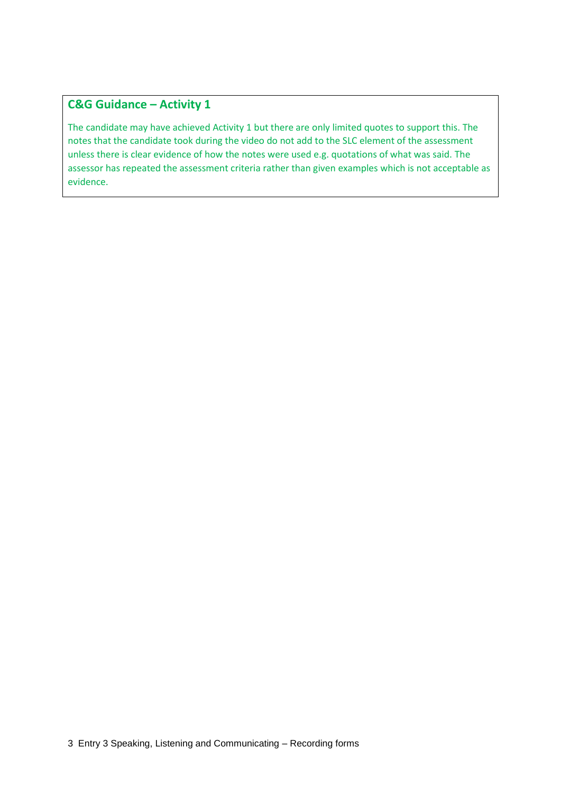### **C&G Guidance – Activity 1**

The candidate may have achieved Activity 1 but there are only limited quotes to support this. The notes that the candidate took during the video do not add to the SLC element of the assessment unless there is clear evidence of how the notes were used e.g. quotations of what was said. The assessor has repeated the assessment criteria rather than given examples which is not acceptable as evidence.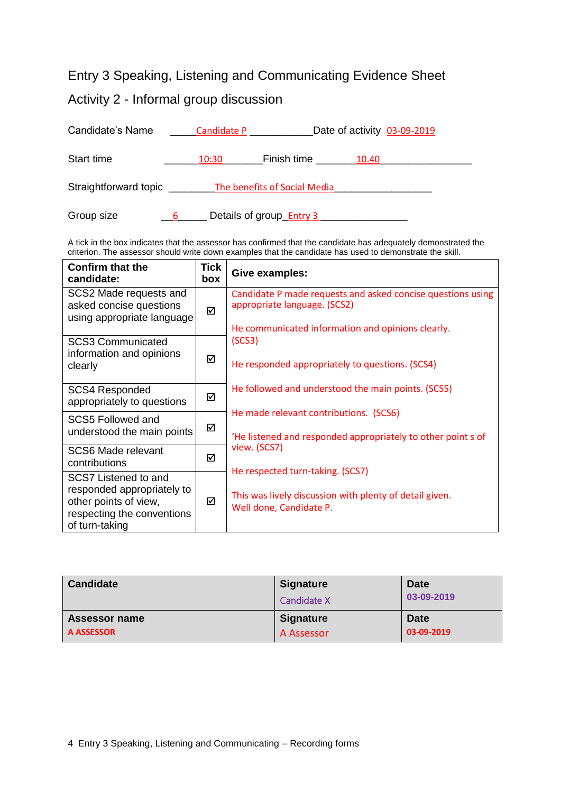### Entry 3 Speaking, Listening and Communicating Evidence Sheet

## Activity 2 - Informal group discussion

| Candidate's Name                                      | Candidate P |                          | Date of activity 03-09-2019 |  |
|-------------------------------------------------------|-------------|--------------------------|-----------------------------|--|
| Start time                                            | 10:30       | Finish time              | 10.40                       |  |
| Straightforward topic<br>The benefits of Social Media |             |                          |                             |  |
| Group size                                            |             | Details of group_Entry 3 |                             |  |

A tick in the box indicates that the assessor has confirmed that the candidate has adequately demonstrated the criterion. The assessor should write down examples that the candidate has used to demonstrate the skill.

| <b>Confirm that the</b><br>candidate:                                                                                       | <b>Tick</b><br>box | Give examples:                                                                                                         |
|-----------------------------------------------------------------------------------------------------------------------------|--------------------|------------------------------------------------------------------------------------------------------------------------|
| SCS2 Made requests and<br>asked concise questions<br>using appropriate language                                             | ☑                  | Candidate P made requests and asked concise questions using<br>appropriate language. (SCS2)                            |
| <b>SCS3 Communicated</b><br>information and opinions<br>clearly                                                             | ☑                  | He communicated information and opinions clearly.<br>(SCS3)<br>He responded appropriately to questions. (SCS4)         |
| <b>SCS4 Responded</b><br>appropriately to questions                                                                         | ☑                  | He followed and understood the main points. (SCS5)                                                                     |
| SCS5 Followed and<br>understood the main points                                                                             | ☑                  | He made relevant contributions. (SCS6)<br>'He listened and responded appropriately to other point s of                 |
| <b>SCS6 Made relevant</b><br>contributions                                                                                  | ☑                  | view. (SCS7)                                                                                                           |
| SCS7 Listened to and<br>responded appropriately to<br>other points of view,<br>respecting the conventions<br>of turn-taking | ☑                  | He respected turn-taking. (SCS7)<br>This was lively discussion with plenty of detail given.<br>Well done, Candidate P. |

| <b>Candidate</b>     | <b>Signature</b><br>Candidate X | <b>Date</b><br>03-09-2019 |
|----------------------|---------------------------------|---------------------------|
| <b>Assessor name</b> | <b>Signature</b>                | <b>Date</b>               |
| A ASSESSOR           | A Assessor                      | 03-09-2019                |